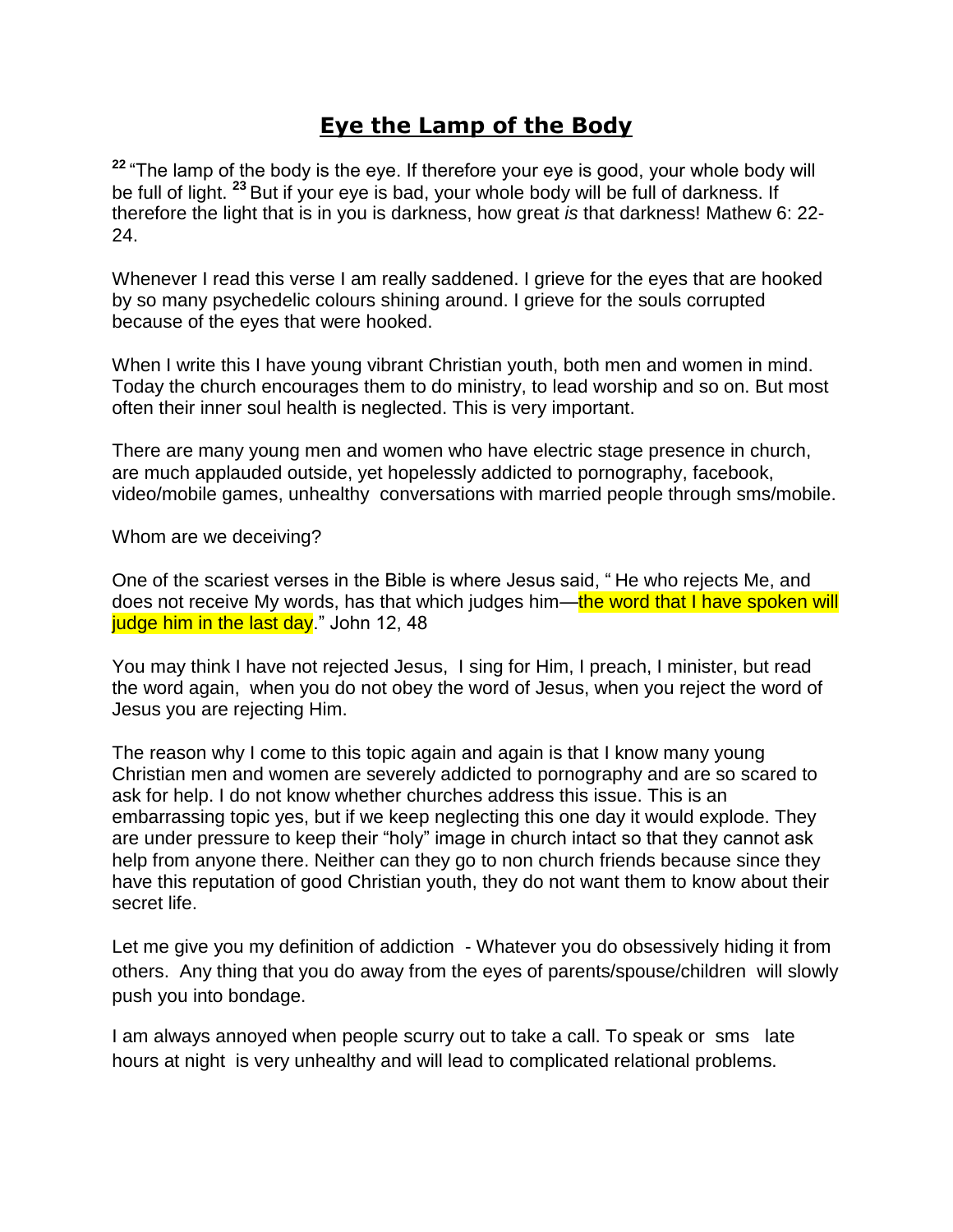## **Eye the Lamp of the Body**

<sup>22</sup> "The lamp of the body is the eye. If therefore your eye is good, your whole body will be full of light. **<sup>23</sup>** But if your eye is bad, your whole body will be full of darkness. If therefore the light that is in you is darkness, how great *is* that darkness! Mathew 6: 22- 24.

Whenever I read this verse I am really saddened. I grieve for the eyes that are hooked by so many psychedelic colours shining around. I grieve for the souls corrupted because of the eyes that were hooked.

When I write this I have young vibrant Christian youth, both men and women in mind. Today the church encourages them to do ministry, to lead worship and so on. But most often their inner soul health is neglected. This is very important.

There are many young men and women who have electric stage presence in church, are much applauded outside, yet hopelessly addicted to pornography, facebook, video/mobile games, unhealthy conversations with married people through sms/mobile.

Whom are we deceiving?

One of the scariest verses in the Bible is where Jesus said, "He who rejects Me, and does not receive My words, has that which judges him—the word that I have spoken will judge him in the last day." John 12, 48

You may think I have not rejected Jesus, I sing for Him, I preach, I minister, but read the word again, when you do not obey the word of Jesus, when you reject the word of Jesus you are rejecting Him.

The reason why I come to this topic again and again is that I know many young Christian men and women are severely addicted to pornography and are so scared to ask for help. I do not know whether churches address this issue. This is an embarrassing topic yes, but if we keep neglecting this one day it would explode. They are under pressure to keep their "holy" image in church intact so that they cannot ask help from anyone there. Neither can they go to non church friends because since they have this reputation of good Christian youth, they do not want them to know about their secret life.

Let me give you my definition of addiction - Whatever you do obsessively hiding it from others. Any thing that you do away from the eyes of parents/spouse/children will slowly push you into bondage.

I am always annoyed when people scurry out to take a call. To speak or sms late hours at night is very unhealthy and will lead to complicated relational problems.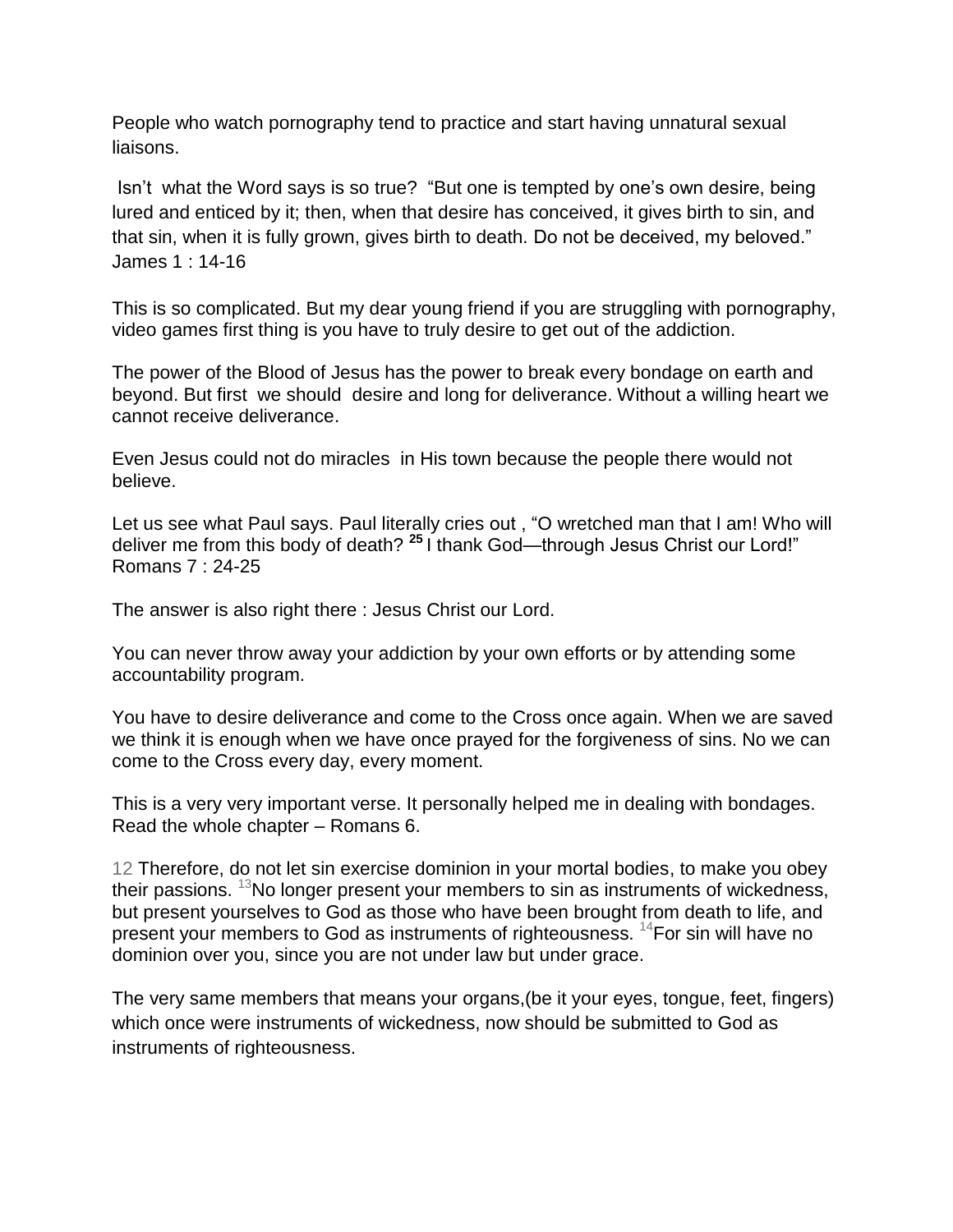People who watch pornography tend to practice and start having unnatural sexual liaisons.

Isn't what the Word says is so true? "But one is tempted by one's own desire, being lured and enticed by it; then, when that desire has conceived, it gives birth to sin, and that sin, when it is fully grown, gives birth to death. Do not be deceived, my beloved." James 1 : 14-16

This is so complicated. But my dear young friend if you are struggling with pornography, video games first thing is you have to truly desire to get out of the addiction.

The power of the Blood of Jesus has the power to break every bondage on earth and beyond. But first we should desire and long for deliverance. Without a willing heart we cannot receive deliverance.

Even Jesus could not do miracles in His town because the people there would not believe.

Let us see what Paul says. Paul literally cries out, "O wretched man that I am! Who will deliver me from this body of death? <sup>25</sup> I thank God—through Jesus Christ our Lord!" Romans 7 : 24-25

The answer is also right there : Jesus Christ our Lord.

You can never throw away your addiction by your own efforts or by attending some accountability program.

You have to desire deliverance and come to the Cross once again. When we are saved we think it is enough when we have once prayed for the forgiveness of sins. No we can come to the Cross every day, every moment.

This is a very very important verse. It personally helped me in dealing with bondages. Read the whole chapter – Romans 6.

12 Therefore, do not let sin exercise dominion in your mortal bodies, to make you obey their passions.  $13$ No longer present your members to sin as instruments of wickedness, but present yourselves to God as those who have been brought from death to life, and present your members to God as instruments of righteousness. <sup>14</sup>For sin will have no dominion over you, since you are not under law but under grace.

The very same members that means your organs,(be it your eyes, tongue, feet, fingers) which once were instruments of wickedness, now should be submitted to God as instruments of righteousness.